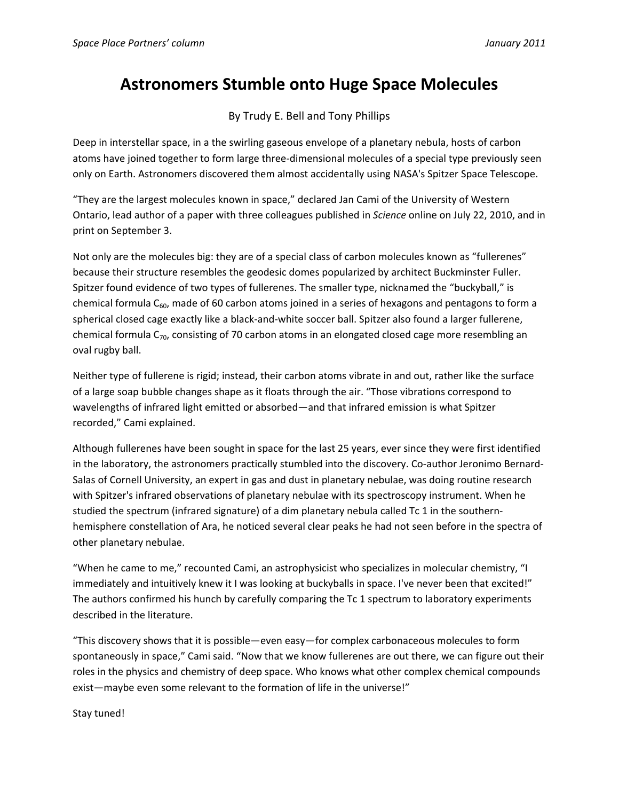## **Astronomers Stumble onto Huge Space Molecules**

By Trudy E. Bell and Tony Phillips

Deep in interstellar space, in a the swirling gaseous envelope of a planetary nebula, hosts of carbon atoms have joined together to form large three‐dimensional molecules of a special type previously seen only on Earth. Astronomers discovered them almost accidentally using NASA's Spitzer Space Telescope.

"They are the largest molecules known in space," declared Jan Cami of the University of Western Ontario, lead author of a paper with three colleagues published in *Science* online on July 22, 2010, and in print on September 3.

Not only are the molecules big: they are of a special class of carbon molecules known as "fullerenes" because their structure resembles the geodesic domes popularized by architect Buckminster Fuller. Spitzer found evidence of two types of fullerenes. The smaller type, nicknamed the "buckyball," is chemical formula  $C_{60}$ , made of 60 carbon atoms joined in a series of hexagons and pentagons to form a spherical closed cage exactly like a black-and-white soccer ball. Spitzer also found a larger fullerene, chemical formula  $C_{70}$ , consisting of 70 carbon atoms in an elongated closed cage more resembling an oval rugby ball.

Neither type of fullerene is rigid; instead, their carbon atoms vibrate in and out, rather like the surface of a large soap bubble changes shape as it floats through the air. "Those vibrations correspond to wavelengths of infrared light emitted or absorbed—and that infrared emission is what Spitzer recorded," Cami explained.

Although fullerenes have been sought in space for the last 25 years, ever since they were first identified in the laboratory, the astronomers practically stumbled into the discovery. Co-author Jeronimo Bernard-Salas of Cornell University, an expert in gas and dust in planetary nebulae, was doing routine research with Spitzer's infrared observations of planetary nebulae with its spectroscopy instrument. When he studied the spectrum (infrared signature) of a dim planetary nebula called Tc 1 in the southernhemisphere constellation of Ara, he noticed several clear peaks he had not seen before in the spectra of other planetary nebulae.

"When he came to me," recounted Cami, an astrophysicist who specializes in molecular chemistry, "I immediately and intuitively knew it I was looking at buckyballs in space. I've never been that excited!" The authors confirmed his hunch by carefully comparing the Tc 1 spectrum to laboratory experiments described in the literature.

"This discovery shows that it is possible—even easy—for complex carbonaceous molecules to form spontaneously in space," Cami said. "Now that we know fullerenes are out there, we can figure out their roles in the physics and chemistry of deep space. Who knows what other complex chemical compounds exist—maybe even some relevant to the formation of life in the universe!"

Stay tuned!